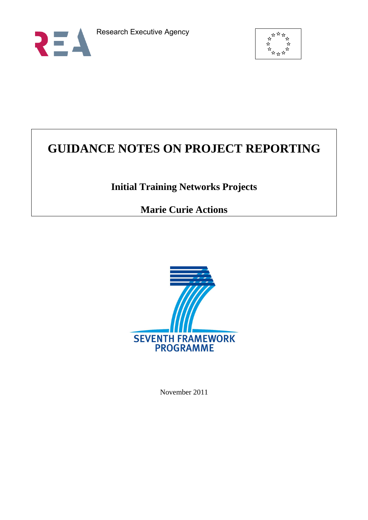



# **GUIDANCE NOTES ON PROJECT REPORTING**

# **Initial Training Networks Projects**

# **Marie Curie Actions**



November 2011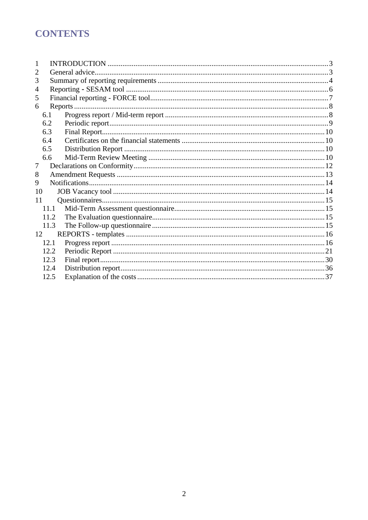# **CONTENTS**

| $\overline{2}$ |      | General advice. |  |  |  |  |  |  |  |
|----------------|------|-----------------|--|--|--|--|--|--|--|
| 3              |      |                 |  |  |  |  |  |  |  |
| 4              |      |                 |  |  |  |  |  |  |  |
| 5              |      |                 |  |  |  |  |  |  |  |
| 6              |      |                 |  |  |  |  |  |  |  |
|                | 6.1  |                 |  |  |  |  |  |  |  |
|                | 6.2  |                 |  |  |  |  |  |  |  |
|                | 6.3  |                 |  |  |  |  |  |  |  |
|                | 6.4  |                 |  |  |  |  |  |  |  |
|                | 6.5  |                 |  |  |  |  |  |  |  |
|                | 6.6  |                 |  |  |  |  |  |  |  |
| 7              |      |                 |  |  |  |  |  |  |  |
| 8              |      |                 |  |  |  |  |  |  |  |
| 9              |      |                 |  |  |  |  |  |  |  |
| 10             |      |                 |  |  |  |  |  |  |  |
| 11             |      |                 |  |  |  |  |  |  |  |
|                | 11.1 |                 |  |  |  |  |  |  |  |
|                | 11.2 |                 |  |  |  |  |  |  |  |
|                | 11.3 |                 |  |  |  |  |  |  |  |
| 12             |      |                 |  |  |  |  |  |  |  |
|                | 12.1 |                 |  |  |  |  |  |  |  |
|                | 12.2 |                 |  |  |  |  |  |  |  |
|                | 12.3 |                 |  |  |  |  |  |  |  |
|                | 12.4 |                 |  |  |  |  |  |  |  |
|                | 12.5 |                 |  |  |  |  |  |  |  |
|                |      |                 |  |  |  |  |  |  |  |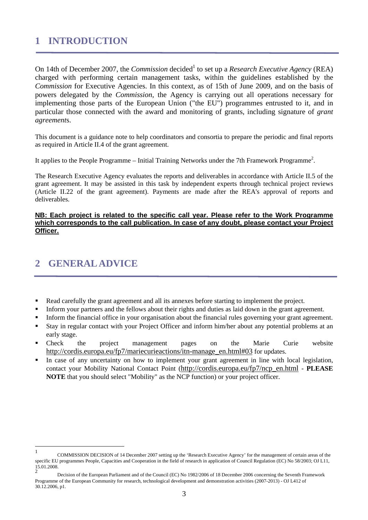# <span id="page-2-0"></span>**1 INTRODUCTION**

On 14th of December 2007, the *Commission* decided<sup>1</sup> to set up a *Research Executive Agency* (REA) charged with performing certain management tasks, within the guidelines established by the *Commission* for Executive Agencies. In this context, as of 15th of June 2009, and on the basis of powers delegated by the *Commission*, the Agency is carrying out all operations necessary for implementing those parts of the European Union ("the EU") programmes entrusted to it, and in particular those connected with the award and monitoring of grants, including signature of *grant agreement*s.

This document is a guidance note to help coordinators and consortia to prepare the periodic and final reports as required in Article II.4 of the grant agreement.

It applies to the People Programme – Initial Training Networks under the 7th Framework Programme<sup>2</sup>.

The Research Executive Agency evaluates the reports and deliverables in accordance with Article II.5 of the grant agreement. It may be assisted in this task by independent experts through technical project reviews (Article II.22 of the grant agreement). Payments are made after the REA's approval of reports and deliverables.

# **NB: Each project is related to the specific call year. Please refer to the Work Programme which corresponds to the call publication. In case of any doubt, please contact your Project Officer.**

# <span id="page-2-1"></span>**2 GENERAL ADVICE**

 $\overline{a}$ 

- Read carefully the grant agreement and all its annexes before starting to implement the project.
- Inform your partners and the fellows about their rights and duties as laid down in the grant agreement.
- Inform the financial office in your organisation about the financial rules governing your grant agreement.
- Stay in regular contact with your Project Officer and inform him/her about any potential problems at an early stage.
- Check the project management pages on the Marie Curie website [http://cordis.europa.eu/fp7/mariecurieactions/itn-manage\\_en.html#03](http://cordis.europa.eu/fp7/mariecurieactions/itn-manage_en.html#03) for updates.
- In case of any uncertainty on how to implement your grant agreement in line with local legislation, contact your Mobility National Contact Point [\(http://cordis.europa.eu/fp7/ncp\\_en.html](http://cordis.europa.eu/fp7/ncp_en.html) - **PLEASE NOTE** that you should select "Mobility" as the NCP function) or your project officer.

<sup>1</sup> COMMISSION DECISION of 14 December 2007 setting up the 'Research Executive Agency' for the management of certain areas of the specific EU programmes People, Capacities and Cooperation in the field of research in application of Council Regulation (EC) No 58/2003; OJ L11, 15.01.2008.  $\overline{2}$ 

Decision of the European Parliament and of the Council (EC) No 1982/2006 of 18 December 2006 concerning the Seventh Framework Programme of the European Community for research, technological development and demonstration activities (2007-2013) - OJ L412 of 30.12.2006, p1.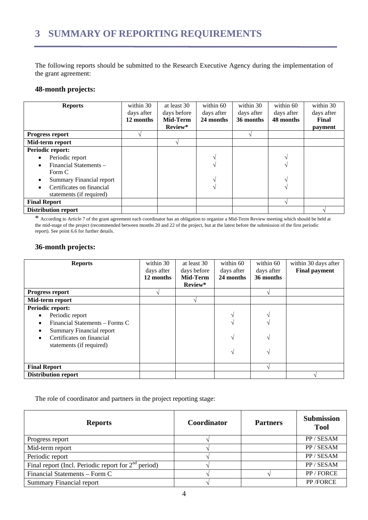<span id="page-3-0"></span>The following reports should be submitted to the Research Executive Agency during the implementation of the grant agreement:

# **48-month projects:**

| <b>Reports</b>                      | within 30  | at least 30 | within 60  | within 30  | within 60  | within 30  |
|-------------------------------------|------------|-------------|------------|------------|------------|------------|
|                                     | days after | days before | days after | days after | days after | days after |
|                                     | 12 months  | Mid-Term    | 24 months  | 36 months  | 48 months  | Final      |
|                                     |            | Review*     |            |            |            | payment    |
| <b>Progress report</b>              |            |             |            |            |            |            |
| Mid-term report                     |            |             |            |            |            |            |
| Periodic report:                    |            |             |            |            |            |            |
| Periodic report                     |            |             |            |            |            |            |
| Financial Statements -<br>$\bullet$ |            |             |            |            |            |            |
| Form C                              |            |             |            |            |            |            |
| <b>Summary Financial report</b>     |            |             |            |            |            |            |
| Certificates on financial           |            |             |            |            |            |            |
| statements (if required)            |            |             |            |            |            |            |
| <b>Final Report</b>                 |            |             |            |            |            |            |
| <b>Distribution report</b>          |            |             |            |            |            |            |

\* According to Article 7 of the grant agreement each coordinator has an obligation to organize a Mid-Term Review meeting which should be held at the mid-stage of the project (recommended between months 20 and 22 of the project, but at the latest before the submission of the first periodic report). See point 6.6 for further details.

# **36-month projects:**

| <b>Reports</b>                         | within 30  | at least 30 | within 60     | within 60  | within 30 days after |
|----------------------------------------|------------|-------------|---------------|------------|----------------------|
|                                        | days after | days before | days after    | days after | <b>Final payment</b> |
|                                        | 12 months  | Mid-Term    | 24 months     | 36 months  |                      |
|                                        |            | Review*     |               |            |                      |
| <b>Progress report</b>                 |            |             |               |            |                      |
| Mid-term report                        |            |             |               |            |                      |
| Periodic report:                       |            |             |               |            |                      |
| Periodic report<br>$\bullet$           |            |             |               |            |                      |
| Financial Statements – Forms C<br>٠    |            |             |               |            |                      |
| <b>Summary Financial report</b><br>٠   |            |             |               |            |                      |
| Certificates on financial<br>$\bullet$ |            |             | $\mathcal{N}$ |            |                      |
| statements (if required)               |            |             | A.            |            |                      |
| <b>Final Report</b>                    |            |             |               |            |                      |
| <b>Distribution report</b>             |            |             |               |            |                      |

The role of coordinator and partners in the project reporting stage:

| <b>Reports</b>                                        | Coordinator | <b>Partners</b> | <b>Submission</b><br><b>Tool</b> |
|-------------------------------------------------------|-------------|-----------------|----------------------------------|
| Progress report                                       |             |                 | PP / SESAM                       |
| Mid-term report                                       |             |                 | PP / SESAM                       |
| Periodic report                                       |             |                 | PP / SESAM                       |
| Final report (Incl. Periodic report for $2nd$ period) |             |                 | PP / SESAM                       |
| Financial Statements – Form C                         |             |                 | PP / FORCE                       |
| <b>Summary Financial report</b>                       |             |                 | PP /FORCE                        |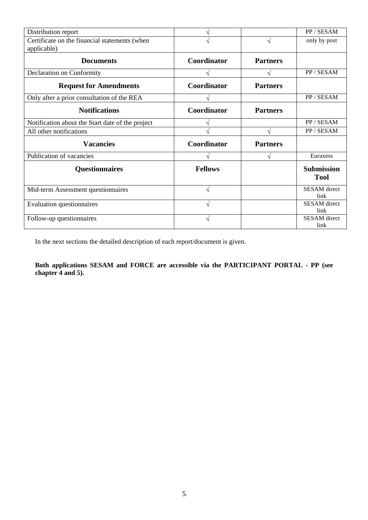| Distribution report                              |                |                 | PP / SESAM                       |
|--------------------------------------------------|----------------|-----------------|----------------------------------|
| Certificate on the financial statements (when    |                | N               | only by post                     |
| applicable)                                      |                |                 |                                  |
| <b>Documents</b>                                 | Coordinator    | <b>Partners</b> |                                  |
| Declaration on Conformity                        |                |                 | PP / SESAM                       |
| <b>Request for Amendments</b>                    | Coordinator    | <b>Partners</b> |                                  |
| Only after a prior consultation of the REA       |                |                 | PP / SESAM                       |
| <b>Notifications</b>                             | Coordinator    | <b>Partners</b> |                                  |
| Notification about the Start date of the project |                |                 | PP / SESAM                       |
| All other notifications                          |                | N               | PP / SESAM                       |
| <b>Vacancies</b>                                 | Coordinator    | <b>Partners</b> |                                  |
| Publication of vacancies                         | N              | V               | Euraxess                         |
| <b>Questionnaires</b>                            | <b>Fellows</b> |                 | <b>Submission</b><br><b>Tool</b> |
| Mid-term Assessment questionnaires               | N              |                 | <b>SESAM</b> direct<br>link      |
| Evaluation questionnaires                        | ٦Ι             |                 | <b>SESAM</b> direct<br>link      |
| Follow-up questionnaires                         | N              |                 | <b>SESAM</b> direct<br>link      |

In the next sections the detailed description of each report/document is given.

**Both applications SESAM and FORCE are accessible via the PARTICIPANT PORTAL - PP (see chapter 4 and 5).**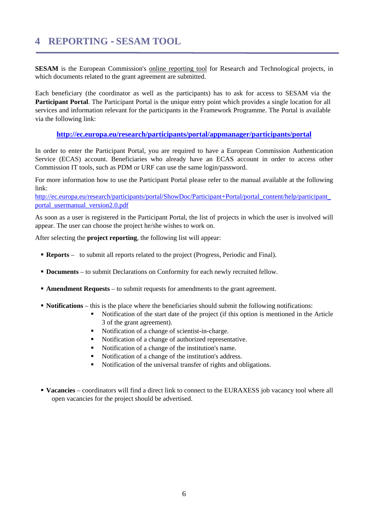# <span id="page-5-0"></span>**4 REPORTING - SESAM TOOL**

**SESAM** is the European Commission's online reporting tool for Research and Technological projects, in which documents related to the grant agreement are submitted.

Each beneficiary (the coordinator as well as the participants) has to ask for access to SESAM via the **Participant Portal**. The Participant Portal is the unique entry point which provides a single location for all services and information relevant for the participants in the Framework Programme. The Portal is available via the following link:

## **<http://ec.europa.eu/research/participants/portal/appmanager/participants/portal>**

In order to enter the Participant Portal, you are required to have a European Commission Authentication Service (ECAS) account. Beneficiaries who already have an ECAS account in order to access other Commission IT tools, such as PDM or URF can use the same login/password.

For more information how to use the Participant Portal please refer to the manual available at the following link:

[http://ec.europa.eu/research/participants/portal/ShowDoc/Participant+Portal/portal\\_content/help/participant\\_](http://ec.europa.eu/research/participants/portal/ShowDoc/Participant+Portal/portal_content/help/participant_portal_usermanual_version2.0.pdf) [portal\\_usermanual\\_version2.0.pdf](http://ec.europa.eu/research/participants/portal/ShowDoc/Participant+Portal/portal_content/help/participant_portal_usermanual_version2.0.pdf)

As soon as a user is registered in the Participant Portal, the list of projects in which the user is involved will appear. The user can choose the project he/she wishes to work on.

After selecting the **project reporting**, the following list will appear:

- **Reports** to submit all reports related to the project (Progress, Periodic and Final).
- **Documents** to submit Declarations on Conformity for each newly recruited fellow.
- **Amendment Requests** to submit requests for amendments to the grant agreement.
- **Notifications** this is the place where the beneficiaries should submit the following notifications:
	- Notification of the start date of the project (if this option is mentioned in the Article 3 of the grant agreement).
	- Notification of a change of scientist-in-charge.
	- Notification of a change of authorized representative.
	- Notification of a change of the institution's name.
	- Notification of a change of the institution's address.
	- Notification of the universal transfer of rights and obligations.
- **Vacancies** coordinators will find a direct link to connect to the EURAXESS job vacancy tool where all open vacancies for the project should be advertised.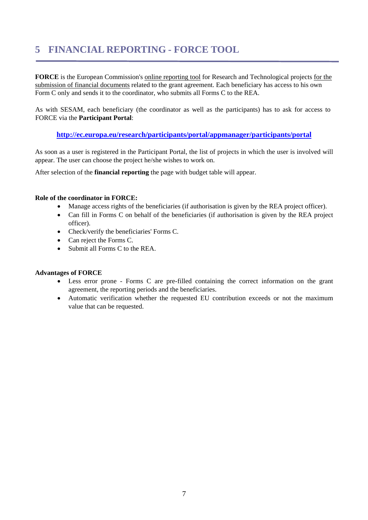# <span id="page-6-0"></span>**5 FINANCIAL REPORTING - FORCE TOOL**

**FORCE** is the European Commission's online reporting tool for Research and Technological projects for the submission of financial documents related to the grant agreement. Each beneficiary has access to his own Form C only and sends it to the coordinator, who submits all Forms C to the REA.

As with SESAM, each beneficiary (the coordinator as well as the participants) has to ask for access to FORCE via the **Participant Portal**:

# **<http://ec.europa.eu/research/participants/portal/appmanager/participants/portal>**

As soon as a user is registered in the Participant Portal, the list of projects in which the user is involved will appear. The user can choose the project he/she wishes to work on.

After selection of the **financial reporting** the page with budget table will appear.

## **Role of the coordinator in FORCE:**

- Manage access rights of the beneficiaries (if authorisation is given by the REA project officer).
- Can fill in Forms C on behalf of the beneficiaries (if authorisation is given by the REA project officer).
- Check/verify the beneficiaries' Forms C.
- Can reject the Forms C.
- Submit all Forms C to the REA.

### **Advantages of FORCE**

- Less error prone Forms C are pre-filled containing the correct information on the grant agreement, the reporting periods and the beneficiaries.
- Automatic verification whether the requested EU contribution exceeds or not the maximum value that can be requested.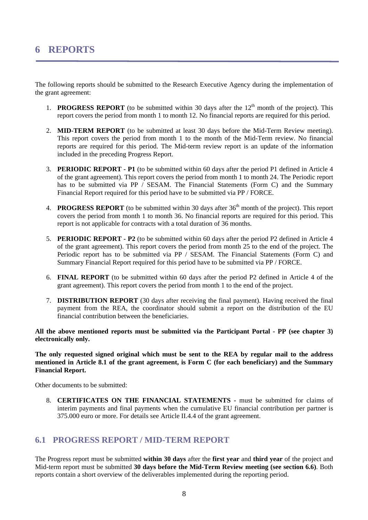<span id="page-7-0"></span>The following reports should be submitted to the Research Executive Agency during the implementation of the grant agreement:

- 1. **PROGRESS REPORT** (to be submitted within 30 days after the  $12<sup>th</sup>$  month of the project). This report covers the period from month 1 to month 12. No financial reports are required for this period.
- 2. **MID-TERM REPORT** (to be submitted at least 30 days before the Mid-Term Review meeting). This report covers the period from month 1 to the month of the Mid-Term review. No financial reports are required for this period. The Mid-term review report is an update of the information included in the preceding Progress Report.
- 3. **PERIODIC REPORT P1** (to be submitted within 60 days after the period P1 defined in Article 4 of the grant agreement). This report covers the period from month 1 to month 24. The Periodic report has to be submitted via PP / SESAM. The Financial Statements (Form C) and the Summary Financial Report required for this period have to be submitted via PP / FORCE.
- 4. **PROGRESS REPORT** (to be submitted within 30 days after 36<sup>th</sup> month of the project). This report covers the period from month 1 to month 36. No financial reports are required for this period. This report is not applicable for contracts with a total duration of 36 months.
- 5. **PERIODIC REPORT P2** (to be submitted within 60 days after the period P2 defined in Article 4 of the grant agreement). This report covers the period from month 25 to the end of the project. The Periodic report has to be submitted via PP  $/$  SESAM. The Financial Statements (Form C) and Summary Financial Report required for this period have to be submitted via PP / FORCE.
- 6. **FINAL REPORT** (to be submitted within 60 days after the period P2 defined in Article 4 of the grant agreement). This report covers the period from month 1 to the end of the project.
- 7. **DISTRIBUTION REPORT** (30 days after receiving the final payment). Having received the final payment from the REA, the coordinator should submit a report on the distribution of the EU financial contribution between the beneficiaries.

### **All the above mentioned reports must be submitted via the Participant Portal - PP (see chapter 3) electronically only.**

**The only requested signed original which must be sent to the REA by regular mail to the address mentioned in Article 8.1 of the grant agreement, is Form C (for each beneficiary) and the Summary Financial Report.**

Other documents to be submitted:

8. **CERTIFICATES ON THE FINANCIAL STATEMENTS -** must be submitted for claims of interim payments and final payments when the cumulative EU financial contribution per partner is 375.000 euro or more. For details see Article II.4.4 of the grant agreement.

# <span id="page-7-1"></span>**6.1 PROGRESS REPORT / MID-TERM REPORT**

The Progress report must be submitted **within 30 days** after the **first year** and **third year** of the project and Mid-term report must be submitted **30 days before the Mid-Term Review meeting (see section 6.6)**. Both reports contain a short overview of the deliverables implemented during the reporting period.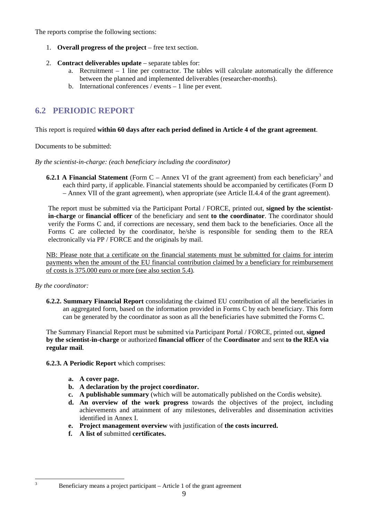The reports comprise the following sections:

- 1. **Overall progress of the project** free text section.
- 2. **Contract deliverables update** separate tables for:
	- a. Recruitment  $-1$  line per contractor. The tables will calculate automatically the difference between the planned and implemented deliverables (researcher-months).
	- b. International conferences / events 1 line per event.

# <span id="page-8-0"></span>**6.2 PERIODIC REPORT**

# This report is required **within 60 days after each period defined in Article 4 of the grant agreement**.

Documents to be submitted:

*By the scientist-in-charge: (each beneficiary including the coordinator)* 

**6.2.1 A Financial Statement** (Form  $C -$  Annex VI of the grant agreement) from each beneficiary<sup>3</sup> and each third party, if applicable. Financial statements should be accompanied by certificates (Form D – Annex VII of the grant agreement), when appropriate (see Article II.4.4 of the grant agreement).

The report must be submitted via the Participant Portal / FORCE, printed out, **signed by the scientistin-charge** or **financial officer** of the beneficiary and sent **to the coordinator**. The coordinator should verify the Forms C and, if corrections are necessary, send them back to the beneficiaries. Once all the Forms C are collected by the coordinator, he/she is responsible for sending them to the REA electronically via PP / FORCE and the originals by mail.

NB: Please note that a certificate on the financial statements must be submitted for claims for interim payments when the amount of the EU financial contribution claimed by a beneficiary for reimbursement of costs is 375.000 euro or more (see also section 5.4).

# *By the coordinator:*

<sup>2</sup><br>3

**6.2.2. Summary Financial Report** consolidating the claimed EU contribution of all the beneficiaries in an aggregated form, based on the information provided in Forms C by each beneficiary. This form can be generated by the coordinator as soon as all the beneficiaries have submitted the Forms C.

The Summary Financial Report must be submitted via Participant Portal / FORCE, printed out, **signed by the scientist-in-charge** or authorized **financial officer** of the **Coordinator** and sent **to the REA via regular mail**.

**6.2.3. A Periodic Report** which comprises:

- **a. A cover page.**
- **b. A declaration by the project coordinator.**
- **c. A publishable summary** (which will be automatically published on the Cordis website).
- **d. An overview of the work progress** towards the objectives of the project, including achievements and attainment of any milestones, deliverables and dissemination activities identified in Annex I.
- **e. Project management overview** with justification of **the costs incurred.**
- **f. A list of** submitted **certificates.**

Beneficiary means a project participant – Article 1 of the grant agreement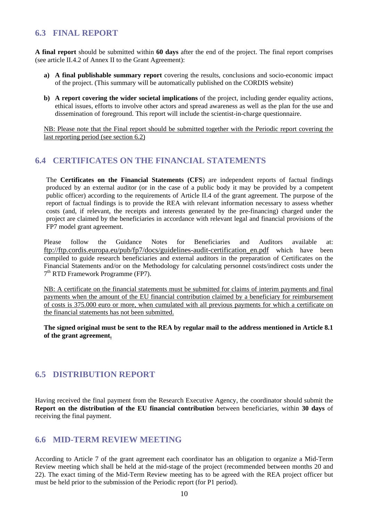# <span id="page-9-0"></span>**6.3 FINAL REPORT**

**A final report** should be submitted within **60 days** after the end of the project. The final report comprises (see article II.4.2 of Annex II to the Grant Agreement):

- **a) A final publishable summary report** covering the results, conclusions and socio-economic impact of the project. (This summary will be automatically published on the CORDIS website)
- **b) A report covering the wider societal implications** of the project, including gender equality actions, ethical issues, efforts to involve other actors and spread awareness as well as the plan for the use and dissemination of foreground. This report will include the scientist-in-charge questionnaire.

NB: Please note that the Final report should be submitted together with the Periodic report covering the last reporting period (see section 6.2)

# <span id="page-9-1"></span>**6.4 CERTIFICATES ON THE FINANCIAL STATEMENTS**

The **Certificates on the Financial Statements (CFS**) are independent reports of factual findings produced by an external auditor (or in the case of a public body it may be provided by a competent public officer) according to the requirements of Article II.4 of the grant agreement. The purpose of the report of factual findings is to provide the REA with relevant information necessary to assess whether costs (and, if relevant, the receipts and interests generated by the pre-financing) charged under the project are claimed by the beneficiaries in accordance with relevant legal and financial provisions of the FP7 model grant agreement.

Please follow the Guidance Notes for Beneficiaries and Auditors available at: [ftp://ftp.cordis.europa.eu/pub/fp7/docs/guidelines-audit-certification\\_en.pdf](ftp://ftp.cordis.europa.eu/pub/fp7/docs/guidelines-audit-certification_en.pdf) which have been compiled to guide research beneficiaries and external auditors in the preparation of Certificates on the Financial Statements and/or on the Methodology for calculating personnel costs/indirect costs under the 7th RTD Framework Programme (FP7).

NB: A certificate on the financial statements must be submitted for claims of interim payments and final payments when the amount of the EU financial contribution claimed by a beneficiary for reimbursement of costs is 375.000 euro or more, when cumulated with all previous payments for which a certificate on the financial statements has not been submitted.

**The signed original must be sent to the REA by regular mail to the address mentioned in Article 8.1 of the grant agreement.**

# <span id="page-9-2"></span>**6.5 DISTRIBUTION REPORT**

Having received the final payment from the Research Executive Agency, the coordinator should submit the **Report on the distribution of the EU financial contribution** between beneficiaries, within **30 days** of receiving the final payment.

# <span id="page-9-3"></span>**6.6 MID-TERM REVIEW MEETING**

According to Article 7 of the grant agreement each coordinator has an obligation to organize a Mid-Term Review meeting which shall be held at the mid-stage of the project (recommended between months 20 and 22). The exact timing of the Mid-Term Review meeting has to be agreed with the REA project officer but must be held prior to the submission of the Periodic report (for P1 period).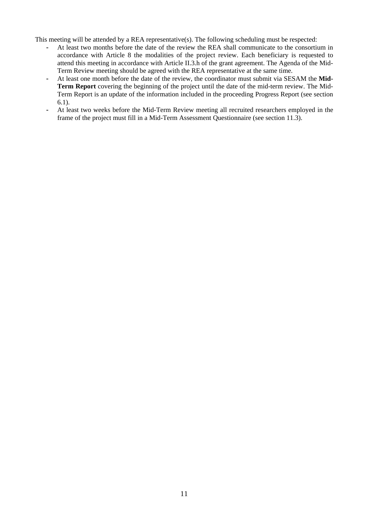This meeting will be attended by a REA representative(s). The following scheduling must be respected:

- At least two months before the date of the review the REA shall communicate to the consortium in accordance with Article 8 the modalities of the project review. Each beneficiary is requested to attend this meeting in accordance with Article II.3.h of the grant agreement. The Agenda of the Mid-Term Review meeting should be agreed with the REA representative at the same time.
- At least one month before the date of the review, the coordinator must submit via SESAM the **Mid-Term Report** covering the beginning of the project until the date of the mid-term review. The Mid-Term Report is an update of the information included in the proceeding Progress Report (see section 6.1).
- At least two weeks before the Mid-Term Review meeting all recruited researchers employed in the frame of the project must fill in a Mid-Term Assessment Questionnaire (see section 11.3).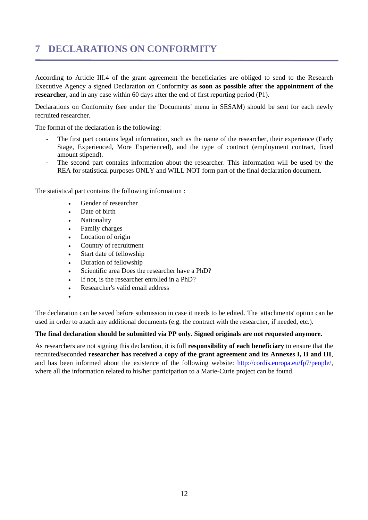# <span id="page-11-0"></span>**7 DECLARATIONS ON CONFORMITY**

According to Article III.4 of the grant agreement the beneficiaries are obliged to send to the Research Executive Agency a signed Declaration on Conformity **as soon as possible after the appointment of the researcher,** and in any case within 60 days after the end of first reporting period (P1).

Declarations on Conformity (see under the 'Documents' menu in SESAM) should be sent for each newly recruited researcher.

The format of the declaration is the following:

- The first part contains legal information, such as the name of the researcher, their experience (Early Stage, Experienced, More Experienced), and the type of contract (employment contract, fixed amount stipend).
- The second part contains information about the researcher. This information will be used by the REA for statistical purposes ONLY and WILL NOT form part of the final declaration document.

The statistical part contains the following information :

- Gender of researcher
- Date of birth
- **Nationality**
- Family charges
- Location of origin
- Country of recruitment
- Start date of fellowship
- Duration of fellowship
- Scientific area Does the researcher have a PhD?
- If not, is the researcher enrolled in a PhD?
- Researcher's valid email address
- •

The declaration can be saved before submission in case it needs to be edited. The 'attachments' option can be used in order to attach any additional documents (e.g. the contract with the researcher, if needed, etc.).

### **The final declaration should be submitted via PP only. Signed originals are not requested anymore.**

As researchers are not signing this declaration, it is full **responsibility of each beneficiary** to ensure that the recruited/seconded **researcher has received a copy of the grant agreement and its Annexes I, II and III**, and has been informed about the existence of the following website: [http://cordis.europa.eu/fp7/people/,](http://cordis.europa.eu/fp7/people/)  where all the information related to his/her participation to a Marie-Curie project can be found.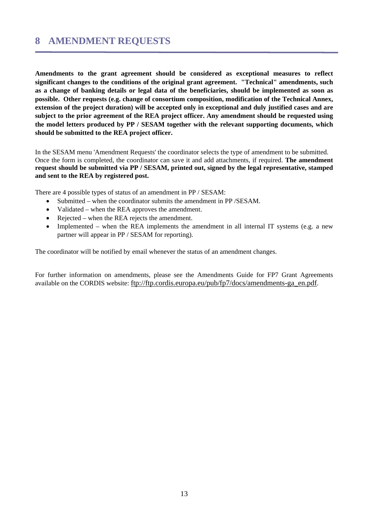<span id="page-12-0"></span>**Amendments to the grant agreement should be considered as exceptional measures to reflect significant changes to the conditions of the original grant agreement. "Technical" amendments, such as a change of banking details or legal data of the beneficiaries, should be implemented as soon as possible. Other requests (e.g. change of consortium composition, modification of the Technical Annex, extension of the project duration) will be accepted only in exceptional and duly justified cases and are subject to the prior agreement of the REA project officer. Any amendment should be requested using the model letters produced by PP / SESAM together with the relevant supporting documents, which should be submitted to the REA project officer.** 

In the SESAM menu 'Amendment Requests' the coordinator selects the type of amendment to be submitted. Once the form is completed, the coordinator can save it and add attachments, if required. **The amendment request should be submitted via PP / SESAM, printed out, signed by the legal representative, stamped and sent to the REA by registered post.** 

There are 4 possible types of status of an amendment in PP / SESAM:

- Submitted when the coordinator submits the amendment in PP /SESAM.
- Validated when the REA approves the amendment.
- Rejected when the REA rejects the amendment.
- Implemented when the REA implements the amendment in all internal IT systems (e.g. a new partner will appear in PP / SESAM for reporting).

The coordinator will be notified by email whenever the status of an amendment changes.

For further information on amendments, please see the Amendments Guide for FP7 Grant Agreements available on the CORDIS website: ftp://ftp.cordis.europa.eu/pub/fp7/docs/amendments-ga\_en.pdf.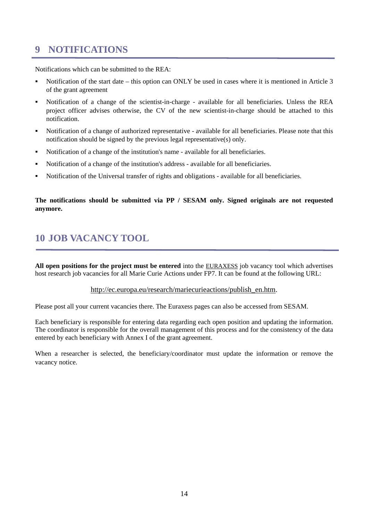# <span id="page-13-0"></span>**9 NOTIFICATIONS**

Notifications which can be submitted to the REA:

- Notification of the start date this option can ONLY be used in cases where it is mentioned in Article 3 of the grant agreement
- Notification of a change of the scientist-in-charge available for all beneficiaries. Unless the REA project officer advises otherwise, the CV of the new scientist-in-charge should be attached to this notification.
- Notification of a change of authorized representative available for all beneficiaries. Please note that this notification should be signed by the previous legal representative(s) only.
- Notification of a change of the institution's name available for all beneficiaries.
- Notification of a change of the institution's address available for all beneficiaries.
- Notification of the Universal transfer of rights and obligations available for all beneficiaries.

# **The notifications should be submitted via PP / SESAM only. Signed originals are not requested anymore.**

# <span id="page-13-1"></span>**10 JOB VACANCY TOOL**

**All open positions for the project must be entered** into the EURAXESS job vacancy tool which advertises host research job vacancies for all Marie Curie Actions under FP7. It can be found at the following URL:

### [http://ec.europa.eu/research/mariecurieactions/publish\\_en.htm.](http://ec.europa.eu/research/mariecurieactions/publish_en.htm)

Please post all your current vacancies there. The Euraxess pages can also be accessed from SESAM.

Each beneficiary is responsible for entering data regarding each open position and updating the information. The coordinator is responsible for the overall management of this process and for the consistency of the data entered by each beneficiary with Annex I of the grant agreement.

When a researcher is selected, the beneficiary/coordinator must update the information or remove the vacancy notice.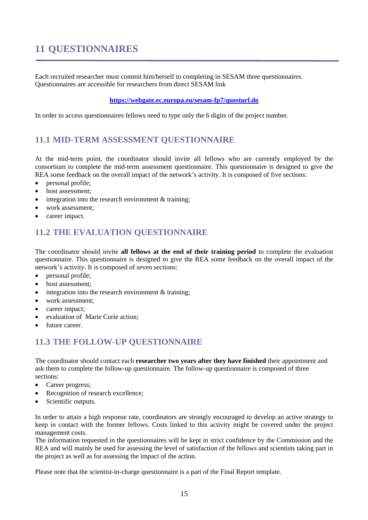# <span id="page-14-0"></span>**11 QUESTIONNAIRES**

Each recruited researcher must commit him/herself to completing in SESAM three questionnaires. Questionnaires are accessible for researchers from direct SESAM link

# **<https://webgate.ec.europa.eu/sesam-fp7/questurl.do>**

In order to access questionnaires fellows need to type only the 6 digits of the project number.

# <span id="page-14-1"></span>**11.1 MID-TERM ASSESSMENT QUESTIONNAIRE**

At the mid-term point, the coordinator should invite all fellows who are currently employed by the consortium to complete the mid-term assessment questionnaire. This questionnaire is designed to give the REA some feedback on the overall impact of the network's activity. It is composed of five sections:

- personal profile;
- host assessment;
- integration into the research environment  $&$  training;
- work assessment;
- <span id="page-14-2"></span>• career impact.

# **11.2 THE EVALUATION QUESTIONNAIRE**

The coordinator should invite **all fellows at the end of their training period** to complete the evaluation questionnaire. This questionnaire is designed to give the REA some feedback on the overall impact of the network's activity. It is composed of seven sections:

- personal profile;
- host assessment;
- integration into the research environment  $&$  training;
- work assessment;
- career impact;
- evaluation of Marie Curie action:
- <span id="page-14-3"></span>• future career.

# **11.3 THE FOLLOW-UP QUESTIONNAIRE**

The coordinator should contact each **researcher two years after they have finished** their appointment and ask them to complete the follow-up questionnaire. The follow-up questionnaire is composed of three sections:

- Career progress;
- Recognition of research excellence;
- Scientific outputs.

In order to attain a high response rate, coordinators are strongly encouraged to develop an active strategy to keep in contact with the former fellows. Costs linked to this activity might be covered under the project management costs.

The information requested in the questionnaires will be kept in strict confidence by the Commission and the REA and will mainly be used for assessing the level of satisfaction of the fellows and scientists taking part in the project as well as for assessing the impact of the action.

Please note that the scientist-in-charge questionnaire is a part of the Final Report template.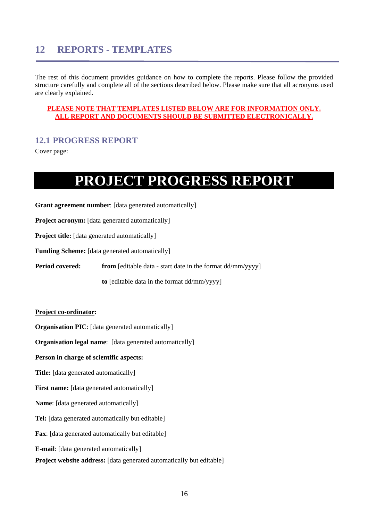# <span id="page-15-0"></span>**12 REPORTS - TEMPLATES**

The rest of this document provides guidance on how to complete the reports. Please follow the provided structure carefully and complete all of the sections described below. Please make sure that all acronyms used are clearly explained.

### **PLEASE NOTE THAT TEMPLATES LISTED BELOW ARE FOR INFORMATION ONLY. ALL REPORT AND DOCUMENTS SHOULD BE SUBMITTED ELECTRONICALLY.**

# <span id="page-15-1"></span>**12.1 PROGRESS REPORT**

Cover page:

# **PROJECT PROGRESS REPORT**

**Grant agreement number**: [data generated automatically]

**Project acronym:** [data generated automatically]

**Project title:** [data generated automatically]

**Funding Scheme:** [data generated automatically]

**Period covered:** from [editable data - start date in the format dd/mm/yyyy]

**to** [editable data in the format dd/mm/yyyy]

### **Project co-ordinator:**

**Organisation PIC**: [data generated automatically]

**Organisation legal name:** [data generated automatically]

**Person in charge of scientific aspects:** 

**Title:** [data generated automatically]

First name: [data generated automatically]

**Name**: [data generated automatically]

**Tel:** [data generated automatically but editable]

**Fax**: [data generated automatically but editable]

**E-mail**: [data generated automatically]

**Project website address:** [data generated automatically but editable]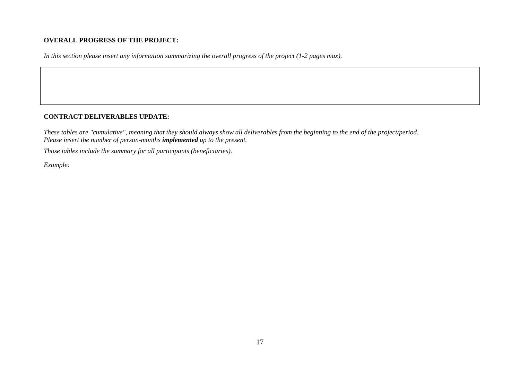### **OVERALL PROGRESS OF THE PROJECT:**

*In this section please insert any information summarizing the overall progress of the project (1-2 pages max).* 

## **CONTRACT DELIVERABLES UPDATE:**

*These tables are "cumulative", meaning that they should always show all deliverables from the beginning to the end of the project/period. Please insert the number of person-months implemented up to the present.* 

*Those tables include the summary for all participants (beneficiaries).* 

*Example:*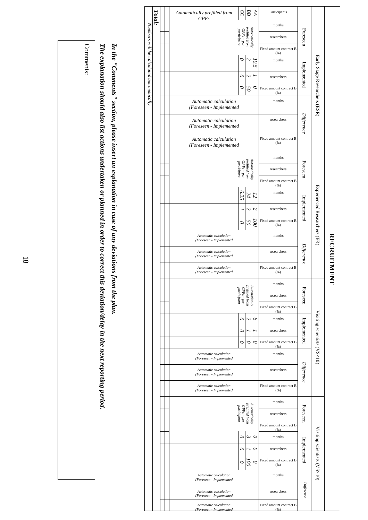|                                          | Total: |                                                  |  | Automatically prefilled from<br>GPFs             | SC                                                           | ВB                              | Я    | Participants                    |             |                               |                         |
|------------------------------------------|--------|--------------------------------------------------|--|--------------------------------------------------|--------------------------------------------------------------|---------------------------------|------|---------------------------------|-------------|-------------------------------|-------------------------|
|                                          |        |                                                  |  |                                                  |                                                              |                                 |      | months                          |             |                               |                         |
|                                          |        |                                                  |  |                                                  | $GPFs-per$<br>participant                                    | prefilled from<br>Automatically |      | researchers                     | Foreseen    |                               |                         |
|                                          |        |                                                  |  |                                                  |                                                              |                                 |      | Fixed amount contract B<br>(% ) |             |                               |                         |
| Numbers will be calculated automatically |        |                                                  |  |                                                  | $\circ$                                                      | N                               | 10.5 | months                          |             |                               |                         |
|                                          |        |                                                  |  |                                                  | c                                                            | N                               |      | researchers                     | Implemented |                               |                         |
|                                          |        |                                                  |  |                                                  | 0                                                            | S                               | 0    | Fixed amount contract B<br>(% ) |             |                               |                         |
|                                          |        |                                                  |  | Automatic calculation<br>(Foreseen - Implemented |                                                              |                                 |      | months                          |             | Early Stage Researchers (ESR) |                         |
|                                          |        |                                                  |  | Automatic calculation<br>(Foreseen - Implemented |                                                              |                                 |      | researchers                     | Difference  |                               |                         |
|                                          |        |                                                  |  | Automatic calculation<br>(Foreseen - Implemented |                                                              |                                 |      | Fixed amount contract B<br>(% ) |             |                               |                         |
|                                          |        |                                                  |  |                                                  |                                                              |                                 |      | months                          |             |                               |                         |
|                                          |        |                                                  |  |                                                  | Automatically<br>prefilled from<br>GPFs – per<br>participant |                                 |      | researchers                     | Foreseen    |                               |                         |
|                                          |        |                                                  |  |                                                  |                                                              |                                 |      | Fixed amount contract B         |             |                               |                         |
|                                          |        |                                                  |  |                                                  | (% )<br>6.25<br>months<br>24<br>12                           |                                 |      |                                 |             | Experienced Researchers (ER)  |                         |
|                                          |        |                                                  |  |                                                  |                                                              | N                               | Z    | researchers                     | Implemented |                               |                         |
|                                          |        |                                                  |  |                                                  | $\circ$                                                      | S                               | ā    | Fixed amount contract B<br>(%)  |             |                               |                         |
|                                          |        |                                                  |  | Automatic calculation<br>(Foreseen - Implemented |                                                              |                                 |      | months                          |             |                               |                         |
|                                          |        |                                                  |  | Automatic calculation<br>(Foreseen - Implemented |                                                              |                                 |      | researchers                     | Difference  |                               |                         |
|                                          |        |                                                  |  | Automatic calculation<br>(Foreseen - Implemented |                                                              |                                 |      | Fixed amount contract B<br>(% ) |             |                               | <b>RECRUITMENT</b><br>J |
|                                          |        |                                                  |  |                                                  |                                                              |                                 |      | months                          |             |                               |                         |
|                                          |        |                                                  |  |                                                  | Automatically<br>prefilled from<br>GPFs – per<br>participant |                                 |      | researchers                     | Foreseen    |                               |                         |
|                                          |        |                                                  |  |                                                  |                                                              |                                 |      | Fixed amount contract B<br>(% ) |             |                               |                         |
|                                          |        |                                                  |  |                                                  | 0                                                            | $\sim$                          | Q    | months                          |             |                               |                         |
|                                          |        |                                                  |  |                                                  | 0                                                            |                                 |      | researchers                     | Implemented |                               |                         |
|                                          |        |                                                  |  |                                                  | 0                                                            | ∘                               | ∘    | Fixed amount contract B<br>(96) |             |                               |                         |
|                                          |        |                                                  |  | Automatic calculation<br>(Foreseen - Implemented |                                                              |                                 |      | months                          |             | Visiting scientists $(NS<10)$ |                         |
|                                          |        |                                                  |  | Automatic calculation<br>(Foreseen - Implemented |                                                              |                                 |      | researchers                     | Difference  |                               |                         |
|                                          |        |                                                  |  | Automatic calculation<br>(Foreseen - Implemented |                                                              |                                 |      | Fixed amount contract B<br>(% ) |             |                               |                         |
|                                          |        |                                                  |  |                                                  |                                                              |                                 |      | months                          |             |                               |                         |
|                                          |        |                                                  |  |                                                  | Automatically<br>prefilled from<br>GPFs – per<br>participant |                                 |      | researchers                     | Foreseen    |                               |                         |
|                                          |        |                                                  |  |                                                  |                                                              |                                 |      | Fixed amount contract B<br>(96) |             |                               |                         |
|                                          |        |                                                  |  |                                                  | 0                                                            | ى                               | ∘    | months                          |             |                               |                         |
|                                          |        |                                                  |  |                                                  | 0                                                            |                                 | ∘    | researchers                     | Implemented |                               |                         |
|                                          |        |                                                  |  |                                                  | $\circ$                                                      | ē                               | C    | Fixed amount contract B<br>(% ) |             | Visiting scientists $(NS>10)$ |                         |
|                                          |        |                                                  |  | Automatic calculation<br>(Foreseen - Implemented |                                                              |                                 |      | months                          |             |                               |                         |
|                                          |        | Automatic calculation<br>(Foreseen - Implemented |  |                                                  |                                                              |                                 |      | researchers                     | Difference  |                               |                         |
|                                          |        |                                                  |  | Automatic calculation<br>(Foreseen - Implemented |                                                              |                                 |      | Fixed amount contract B<br>(96) |             |                               |                         |

In the "Comments" section, please insert an explanation in case of any deviations from the plan. *In the "Comments" section, please insert an explanation in case of any deviations from the plan.* 

The explanation should also list actions undertaken or planned in order to correct this deviation/delay in the next reporting period. *The explanation should also list actions undertaken or planned in order to correct this deviation/delay in the next reporting period.* 

Comments: Comments: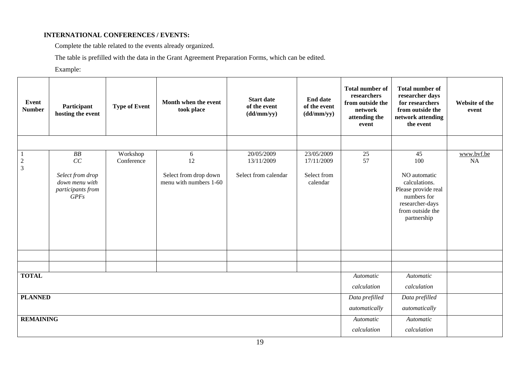## **INTERNATIONAL CONFERENCES / EVENTS:**

Complete the table related to the events already organized.

The table is prefilled with the data in the Grant Agreement Preparation Forms, which can be edited.

Example:

| Event<br><b>Number</b>        | Participant<br>hosting the event                                            | <b>Type of Event</b>   | Month when the event<br>took place                         | <b>Start date</b><br>of the event<br>(dd/mm/yy)  | <b>End date</b><br>of the event<br>(dd/mm/yy)       | <b>Total number of</b><br>researchers<br>from outside the<br>network<br>attending the<br>event | <b>Total number of</b><br>researcher days<br>for researchers<br>from outside the<br>network attending<br>the event                     | Website of the<br>event |
|-------------------------------|-----------------------------------------------------------------------------|------------------------|------------------------------------------------------------|--------------------------------------------------|-----------------------------------------------------|------------------------------------------------------------------------------------------------|----------------------------------------------------------------------------------------------------------------------------------------|-------------------------|
|                               |                                                                             |                        |                                                            |                                                  |                                                     |                                                                                                |                                                                                                                                        |                         |
| $\mathbf{1}$<br>$\frac{2}{3}$ | BB<br>CC<br>Select from drop<br>down menu with<br>participants from<br>GPFs | Workshop<br>Conference | 6<br>12<br>Select from drop down<br>menu with numbers 1-60 | 20/05/2009<br>13/11/2009<br>Select from calendar | 23/05/2009<br>17/11/2009<br>Select from<br>calendar | 25<br>57                                                                                       | 45<br>100<br>NO automatic<br>calculations.<br>Please provide real<br>numbers for<br>researcher-days<br>from outside the<br>partnership | www.bvf.be<br><b>NA</b> |
|                               |                                                                             |                        |                                                            |                                                  |                                                     |                                                                                                |                                                                                                                                        |                         |
| <b>TOTAL</b>                  |                                                                             |                        |                                                            |                                                  |                                                     | Automatic                                                                                      | Automatic                                                                                                                              |                         |
|                               |                                                                             |                        |                                                            |                                                  |                                                     | calculation                                                                                    | calculation                                                                                                                            |                         |
| <b>PLANNED</b>                |                                                                             |                        |                                                            |                                                  |                                                     | Data prefilled<br>automatically                                                                | Data prefilled<br>automatically                                                                                                        |                         |
| <b>REMAINING</b>              |                                                                             |                        |                                                            |                                                  |                                                     | Automatic<br>calculation                                                                       | Automatic<br>calculation                                                                                                               |                         |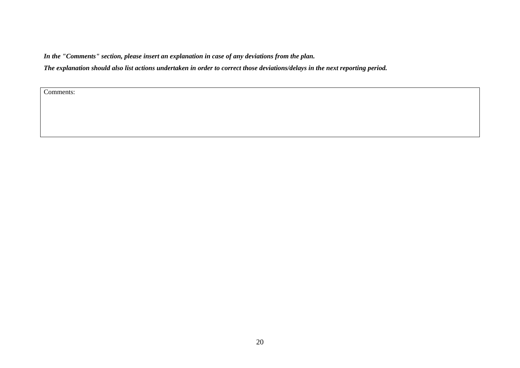*In the "Comments" section, please insert an explanation in case of any deviations from the plan.* 

*The explanation should also list actions undertaken in order to correct those deviations/delays in the next reporting period.* 

Comments: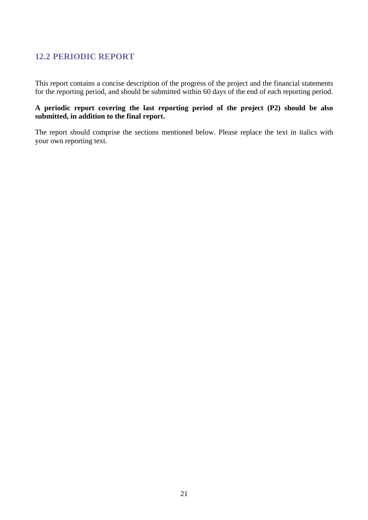# <span id="page-20-0"></span>**12.2 PERIODIC REPORT**

This report contains a concise description of the progress of the project and the financial statements for the reporting period, and should be submitted within 60 days of the end of each reporting period.

# **A periodic report covering the last reporting period of the project (P2) should be also submitted, in addition to the final report.**

The report should comprise the sections mentioned below. Please replace the text in italics with your own reporting text.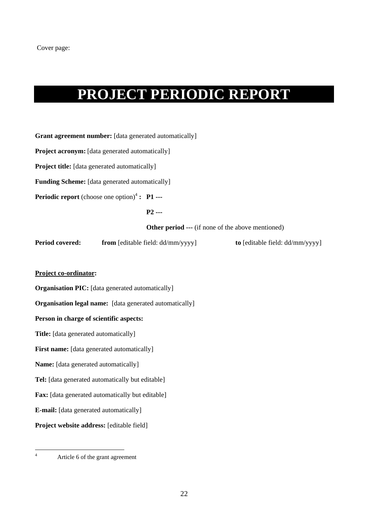# **PROJECT PERIODIC REPORT**

**Grant agreement number:** [data generated automatically]

**Project acronym:** [data generated automatically]

**Project title:** [data generated automatically]

**Funding Scheme:** [data generated automatically]

**Periodic report** (choose one option)<sup>4</sup> **: P1 ---**

 **P2 ---** 

**Other period ---** (if none of the above mentioned)

**Period covered:** from [editable field: dd/mm/yyyy] **to** [editable field: dd/mm/yyyy]

# **Project co-ordinator:**

**Organisation PIC:** [data generated automatically]

**Organisation legal name:** [data generated automatically]

#### **Person in charge of scientific aspects:**

**Title:** [data generated automatically]

**First name:** [data generated automatically]

**Name:** [data generated automatically]

**Tel:** [data generated automatically but editable]

Fax: [data generated automatically but editable]

**E-mail:** [data generated automatically]

**Project website address:** [editable field]

 $\frac{1}{4}$ 

Article 6 of the grant agreement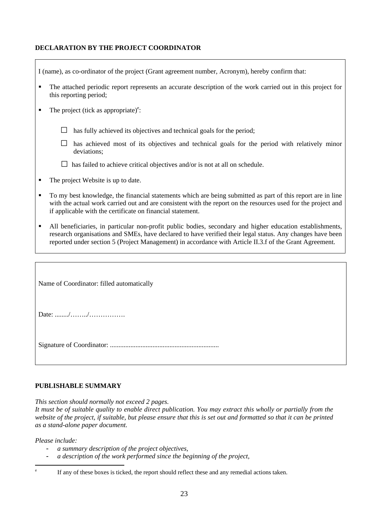# **DECLARATION BY THE PROJECT COORDINATOR**

| I (name), as co-ordinator of the project (Grant agreement number, Acronym), hereby confirm that:                                                                                                                                                                                                                                       |  |  |  |  |  |  |  |  |  |
|----------------------------------------------------------------------------------------------------------------------------------------------------------------------------------------------------------------------------------------------------------------------------------------------------------------------------------------|--|--|--|--|--|--|--|--|--|
| The attached periodic report represents an accurate description of the work carried out in this project for<br>٠<br>this reporting period;                                                                                                                                                                                             |  |  |  |  |  |  |  |  |  |
| The project (tick as appropriate) $\text{e}$ :<br>٠                                                                                                                                                                                                                                                                                    |  |  |  |  |  |  |  |  |  |
| has fully achieved its objectives and technical goals for the period;                                                                                                                                                                                                                                                                  |  |  |  |  |  |  |  |  |  |
| has achieved most of its objectives and technical goals for the period with relatively minor<br>deviations;                                                                                                                                                                                                                            |  |  |  |  |  |  |  |  |  |
| has failed to achieve critical objectives and/or is not at all on schedule.                                                                                                                                                                                                                                                            |  |  |  |  |  |  |  |  |  |
| The project Website is up to date.<br>٠                                                                                                                                                                                                                                                                                                |  |  |  |  |  |  |  |  |  |
| To my best knowledge, the financial statements which are being submitted as part of this report are in line<br>٠<br>with the actual work carried out and are consistent with the report on the resources used for the project and<br>if applicable with the certificate on financial statement.                                        |  |  |  |  |  |  |  |  |  |
| All beneficiaries, in particular non-profit public bodies, secondary and higher education establishments,<br>٠<br>research organisations and SMEs, have declared to have verified their legal status. Any changes have been<br>reported under section 5 (Project Management) in accordance with Article II.3.f of the Grant Agreement. |  |  |  |  |  |  |  |  |  |
|                                                                                                                                                                                                                                                                                                                                        |  |  |  |  |  |  |  |  |  |
| Name of Coordinator: filled automatically                                                                                                                                                                                                                                                                                              |  |  |  |  |  |  |  |  |  |
|                                                                                                                                                                                                                                                                                                                                        |  |  |  |  |  |  |  |  |  |

Signature of Coordinator: ................................................................

# **PUBLISHABLE SUMMARY**

*This section should normally not exceed 2 pages.* 

*It must be of suitable quality to enable direct publication. You may extract this wholly or partially from the*  website of the project, if suitable, but please ensure that this is set out and formatted so that it can be printed *as a stand-alone paper document.* 

*Please include:* 

e

 $\mathbf{r}$ 

- *a summary description of the project objectives,*
- *a description of the work performed since the beginning of the project,*

If any of these boxes is ticked, the report should reflect these and any remedial actions taken.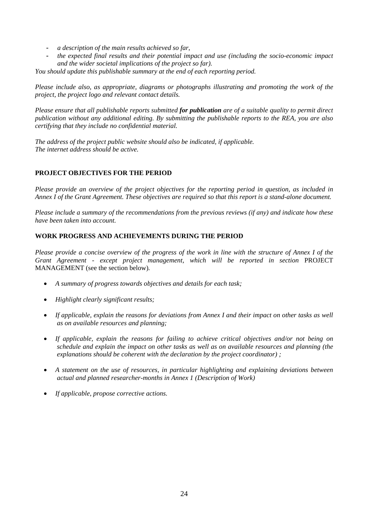- *a description of the main results achieved so far,*
- *the expected final results and their potential impact and use (including the socio-economic impact and the wider societal implications of the project so far).*

*You should update this publishable summary at the end of each reporting period.* 

*Please include also, as appropriate, diagrams or photographs illustrating and promoting the work of the project, the project logo and relevant contact details.* 

*Please ensure that all publishable reports submitted for publication are of a suitable quality to permit direct publication without any additional editing. By submitting the publishable reports to the REA, you are also certifying that they include no confidential material.* 

*The address of the project public website should also be indicated, if applicable. The internet address should be active.* 

# **PROJECT OBJECTIVES FOR THE PERIOD**

*Please provide an overview of the project objectives for the reporting period in question, as included in Annex I of the Grant Agreement. These objectives are required so that this report is a stand-alone document.* 

*Please include a summary of the recommendations from the previous reviews (if any) and indicate how these have been taken into account.* 

## **WORK PROGRESS AND ACHIEVEMENTS DURING THE PERIOD**

*Please provide a concise overview of the progress of the work in line with the structure of Annex I of the Grant Agreement - except project management, which will be reported in section* PROJECT MANAGEMENT (see the section below)*.* 

- *A summary of progress towards objectives and details for each task;*
- *Highlight clearly significant results;*
- *If applicable, explain the reasons for deviations from Annex I and their impact on other tasks as well as on available resources and planning;*
- *If applicable, explain the reasons for failing to achieve critical objectives and/or not being on schedule and explain the impact on other tasks as well as on available resources and planning (the explanations should be coherent with the declaration by the project coordinator) ;*
- *A statement on the use of resources, in particular highlighting and explaining deviations between actual and planned researcher-months in Annex 1 (Description of Work)*
- *If applicable, propose corrective actions.*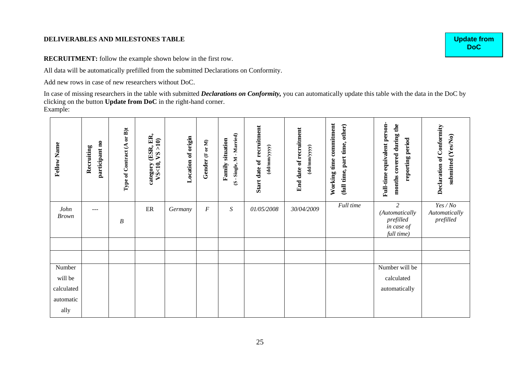#### **DELIVERABLES AND MILESTONES TABLE**

**RECRUITMENT:** follow the example shown below in the first row.

All data will be automatically prefilled from the submitted Declarations on Conformity.

Add new rows in case of new researchers without DoC.

In case of missing researchers in the table with submitted *Declarations on Conformity,* you can automatically update this table with the data in the DoC by clicking on the button **Update from DoC** in the right-hand corner. Example:

| <b>Fellow Name</b>                                   | participant no<br>Recruiting | or $B$ )t<br>Type of Contract (A | category (ESR, ER,<br>VS<10, VS >10) | Location of origin | Gender (For M) | (S-Single, M-Married)<br><b>Family situation</b> | recruitment<br>(dd/mm/yyyy)<br>Start date of | End date of recruitment<br>$(dd/\text{mm}/yyy)$ | Working time commitment<br>(full time, part time, other) | Full-time equivalent person-<br>months covered during the<br>reporting period | Declaration of Conformity<br>submitted (Yes/No) |
|------------------------------------------------------|------------------------------|----------------------------------|--------------------------------------|--------------------|----------------|--------------------------------------------------|----------------------------------------------|-------------------------------------------------|----------------------------------------------------------|-------------------------------------------------------------------------------|-------------------------------------------------|
| John<br><b>Brown</b>                                 | ---                          | $\boldsymbol{B}$                 | ER                                   | Germany            | F              | $\boldsymbol{S}$                                 | 01/05/2008                                   | 30/04/2009                                      | Full time                                                | $\overline{2}$<br>(Automatically<br>prefilled<br>in case of<br>full time)     | Yes/No<br>Automatically<br>prefilled            |
|                                                      |                              |                                  |                                      |                    |                |                                                  |                                              |                                                 |                                                          |                                                                               |                                                 |
| Number<br>will be<br>calculated<br>automatic<br>ally |                              |                                  |                                      |                    |                |                                                  |                                              |                                                 |                                                          | Number will be<br>calculated<br>automatically                                 |                                                 |

**Update from DoC**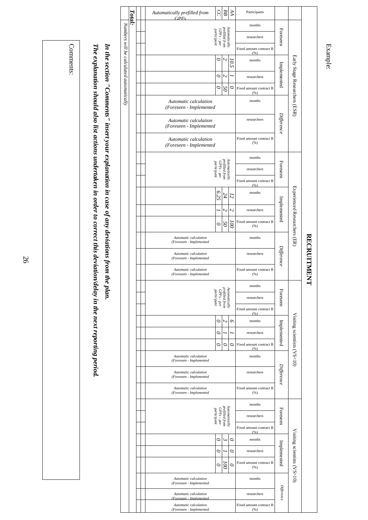|                                          | Total: | Automatically prefilled from<br>CPE <sub>s</sub> | S                                                            | ВB                        | Я                        | Participants                    |             |                               |                   |
|------------------------------------------|--------|--------------------------------------------------|--------------------------------------------------------------|---------------------------|--------------------------|---------------------------------|-------------|-------------------------------|-------------------|
|                                          |        |                                                  |                                                              |                           |                          | months                          |             |                               |                   |
|                                          |        |                                                  | $GPFs-per$<br>participant                                    | prefilled from            | Automatically            | researchers                     | Foreseen    |                               |                   |
|                                          |        |                                                  |                                                              |                           |                          | Fixed amount contract B<br>(96) |             |                               |                   |
| Numbers will be calculated automatically |        |                                                  | 0                                                            | N                         | ro.                      | months                          |             |                               |                   |
|                                          |        |                                                  | 0                                                            | N                         |                          | researchers                     | Implemented |                               |                   |
|                                          |        |                                                  | ∘                                                            | 50                        | 0                        | Fixed amount contract B<br>(%)  |             |                               |                   |
|                                          |        | Automatic calculation<br>(Foreseen - Implemented |                                                              |                           |                          | months                          |             | Early Stage Researchers (ESR) |                   |
|                                          |        | Automatic calculation<br>(Foreseen - Implemented |                                                              |                           |                          | researchers                     | Difference  |                               |                   |
|                                          |        | Automatic calculation<br>(Foreseen - Implemented |                                                              |                           |                          | Fixed amount contract B<br>(%)  |             |                               |                   |
|                                          |        |                                                  |                                                              |                           |                          | months                          |             |                               |                   |
|                                          |        |                                                  | $GPFs-per$<br>participant                                    | prefilled from            | Automatically            | researchers                     | Foreseen    |                               |                   |
|                                          |        |                                                  |                                                              |                           |                          | Fixed amount contract B<br>(96) |             |                               |                   |
|                                          |        |                                                  | 6.25                                                         | 24                        | 12                       | months                          |             | Experienced Researchers (ER)  |                   |
|                                          |        |                                                  |                                                              | N                         | $\sim$                   | researchers                     | Implemented |                               |                   |
|                                          |        |                                                  | $\circ$                                                      | 50                        | $\overline{\omega}$      | Fixed amount contract B<br>(% ) |             |                               |                   |
|                                          |        | Automatic calculation<br>(Foreseen - Implemented |                                                              |                           |                          | months                          |             |                               |                   |
|                                          |        | Automatic calculation<br>(Foreseen - Implemented |                                                              |                           |                          | researchers                     | Difference  |                               | <b>RECRUITMEN</b> |
|                                          |        | Automatic calculation<br>(Foreseen - Implemented |                                                              |                           |                          | Fixed amount contract B<br>(%)  |             |                               |                   |
|                                          |        |                                                  |                                                              |                           |                          | months                          |             |                               | 弓                 |
|                                          |        |                                                  | Automatically<br>prefilled from<br>GPFs – per<br>participant |                           |                          | researchers                     | Foreseen    |                               |                   |
|                                          |        |                                                  |                                                              |                           |                          | Fixed amount contract B<br>(96) |             |                               |                   |
|                                          |        |                                                  | 0                                                            | Z                         | Q                        | months                          |             |                               |                   |
|                                          |        |                                                  | c                                                            |                           |                          | researchers                     | Implemented |                               |                   |
|                                          |        |                                                  | 0                                                            | ○                         | 0                        | Fixed amount contract B<br>(% ) |             |                               |                   |
|                                          |        | Automatic calculation<br>(Foreseen - Implemented |                                                              |                           |                          | months                          |             | Visiting scientists (VS<10)   |                   |
|                                          |        | Automatic calculation<br>(Foreseen - Implemented |                                                              |                           |                          | researchers                     | Difference  |                               |                   |
|                                          |        | Automatic calculation<br>(Foreseen - Implemented |                                                              |                           |                          | Fixed amount contract B<br>(%)  |             |                               |                   |
|                                          |        |                                                  |                                                              |                           |                          | months                          |             |                               |                   |
|                                          |        |                                                  | prefilled from<br>GPFs – per<br>participant                  |                           | $\Lambda$ utomatical $b$ | researchers                     | Foreseen    |                               |                   |
|                                          |        |                                                  |                                                              |                           |                          | Fixed amount contract B<br>(96) |             |                               |                   |
|                                          |        |                                                  | ∘                                                            | $\mathsf{c}_\mathsf{v}$   | O                        | months                          |             |                               |                   |
|                                          |        |                                                  | 0                                                            |                           | 0                        | researchers                     | Implemented |                               |                   |
|                                          |        |                                                  | $\circ$                                                      | $\widetilde{\varepsilon}$ | $\circ$                  | Fixed amount contract B<br>(%)  |             | Visiting scientists $(NS>10)$ |                   |
|                                          |        | Automatic calculation<br>(Foreseen - Implemented |                                                              |                           |                          | months                          |             |                               |                   |
|                                          |        | Automatic calculation                            |                                                              |                           |                          | researchers                     | Difference  |                               |                   |
|                                          |        | Foreseen - Implemented                           |                                                              |                           |                          |                                 |             |                               |                   |

Example:

Comments: Comments:

*The explanation should also list actions undertaken in order to correct this deviation/delay in the next reporting period.* 

The explanation should also list actions undertaken in order to correct this deviation/delay in the next reporting period.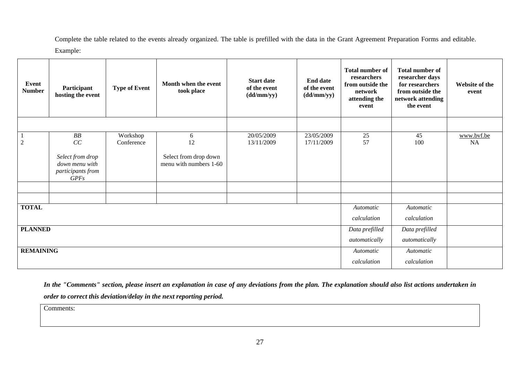Complete the table related to the events already organized. The table is prefilled with the data in the Grant Agreement Preparation Forms and editable. Example:

| Event<br><b>Number</b> | Participant<br>hosting the event                                       | <b>Type of Event</b>   | Month when the event<br>took place              | <b>Start date</b><br>of the event<br>(dd/mm/yy) | <b>End date</b><br>of the event<br>(dd/mm/yy) | <b>Total number of</b><br>researchers<br>from outside the<br>network<br>attending the<br>event | <b>Total number of</b><br>researcher days<br>for researchers<br>from outside the<br>network attending<br>the event | Website of the<br>event |
|------------------------|------------------------------------------------------------------------|------------------------|-------------------------------------------------|-------------------------------------------------|-----------------------------------------------|------------------------------------------------------------------------------------------------|--------------------------------------------------------------------------------------------------------------------|-------------------------|
|                        |                                                                        |                        |                                                 |                                                 |                                               |                                                                                                |                                                                                                                    |                         |
| $\mathfrak{2}$         | ${\it BB}$<br>CC                                                       | Workshop<br>Conference | 6<br>12                                         | 20/05/2009<br>13/11/2009                        | 23/05/2009<br>17/11/2009                      | 25<br>57                                                                                       | 45<br>100                                                                                                          | www.bvf.be<br><b>NA</b> |
|                        | Select from drop<br>down menu with<br>participants from<br><b>GPFs</b> |                        | Select from drop down<br>menu with numbers 1-60 |                                                 |                                               |                                                                                                |                                                                                                                    |                         |
|                        |                                                                        |                        |                                                 |                                                 |                                               |                                                                                                |                                                                                                                    |                         |
|                        |                                                                        |                        |                                                 |                                                 |                                               |                                                                                                |                                                                                                                    |                         |
| <b>TOTAL</b>           |                                                                        |                        |                                                 |                                                 |                                               | Automatic<br>calculation                                                                       | Automatic<br>calculation                                                                                           |                         |
| <b>PLANNED</b>         |                                                                        |                        |                                                 |                                                 |                                               | Data prefilled                                                                                 | Data prefilled                                                                                                     |                         |
|                        |                                                                        |                        |                                                 |                                                 |                                               | automatically                                                                                  | automatically                                                                                                      |                         |
| <b>REMAINING</b>       |                                                                        |                        |                                                 |                                                 |                                               | Automatic                                                                                      | Automatic                                                                                                          |                         |
|                        |                                                                        |                        |                                                 |                                                 |                                               | calculation                                                                                    | calculation                                                                                                        |                         |

*In the "Comments" section, please insert an explanation in case of any deviations from the plan. The explanation should also list actions undertaken in order to correct this deviation/delay in the next reporting period.* 

Comments: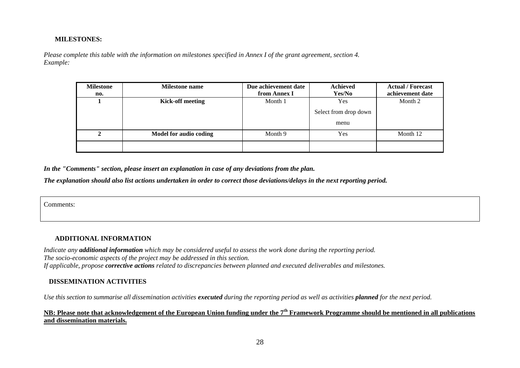#### **MILESTONES:**

*Please complete this table with the information on milestones specified in Annex I of the grant agreement, section 4. Example:* 

| <b>Milestone</b> | <b>Milestone name</b>   | Due achievement date | <b>Achieved</b>       | <b>Actual / Forecast</b> |
|------------------|-------------------------|----------------------|-----------------------|--------------------------|
| no.              |                         | from Annex I         | Yes/No                | achievement date         |
|                  | <b>Kick-off meeting</b> | Month 1              | Yes                   | Month 2                  |
|                  |                         |                      | Select from drop down |                          |
|                  |                         |                      | menu                  |                          |
|                  | Model for audio coding  | Month 9              | Yes                   | Month 12                 |
|                  |                         |                      |                       |                          |

*In the "Comments" section, please insert an explanation in case of any deviations from the plan.* 

*The explanation should also list actions undertaken in order to correct those deviations/delays in the next reporting period.* 

Comments:

#### **ADDITIONAL INFORMATION**

*Indicate any additional information which may be considered useful to assess the work done during the reporting period. The socio-economic aspects of the project may be addressed in this section. If applicable, propose corrective actions related to discrepancies between planned and executed deliverables and milestones.* 

#### **DISSEMINATION ACTIVITIES**

*Use this section to summarise all dissemination activities executed during the reporting period as well as activities planned for the next period.* 

# **NB: Please note that acknowledgement of the European Union funding under the 7th Framework Programme should be mentioned in all publications and dissemination materials.**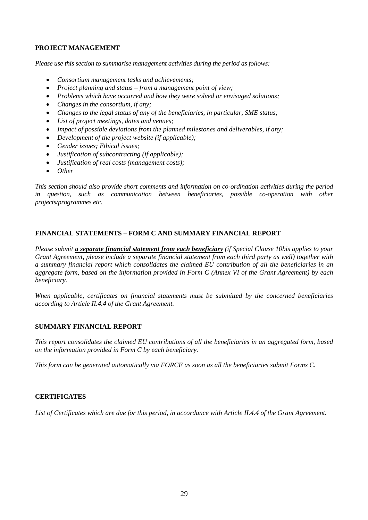# **PROJECT MANAGEMENT**

*Please use this section to summarise management activities during the period as follows:* 

- *Consortium management tasks and achievements;*
- *Project planning and status from a management point of view;*
- *Problems which have occurred and how they were solved or envisaged solutions;*
- *Changes in the consortium, if any;*
- *Changes to the legal status of any of the beneficiaries, in particular, SME status;*
- *List of project meetings, dates and venues;*
- *Impact of possible deviations from the planned milestones and deliverables, if any;*
- *Development of the project website (if applicable);*
- *Gender issues; Ethical issues;*
- *Justification of subcontracting (if applicable);*
- *Justification of real costs (management costs);*
- *Other*

*This section should also provide short comments and information on co-ordination activities during the period in question, such as communication between beneficiaries, possible co-operation with other projects/programmes etc.* 

# **FINANCIAL STATEMENTS – FORM C AND SUMMARY FINANCIAL REPORT**

*Please submit a separate financial statement from each beneficiary (if Special Clause 10bis applies to your Grant Agreement, please include a separate financial statement from each third party as well) together with a summary financial report which consolidates the claimed EU contribution of all the beneficiaries in an aggregate form, based on the information provided in Form C (Annex VI of the Grant Agreement) by each beneficiary.* 

*When applicable, certificates on financial statements must be submitted by the concerned beneficiaries according to Article II.4.4 of the Grant Agreement.* 

# **SUMMARY FINANCIAL REPORT**

*This report consolidates the claimed EU contributions of all the beneficiaries in an aggregated form, based on the information provided in Form C by each beneficiary.* 

*This form can be generated automatically via FORCE as soon as all the beneficiaries submit Forms C.* 

# **CERTIFICATES**

List of Certificates which are due for this period, in accordance with Article II.4.4 of the Grant Agreement.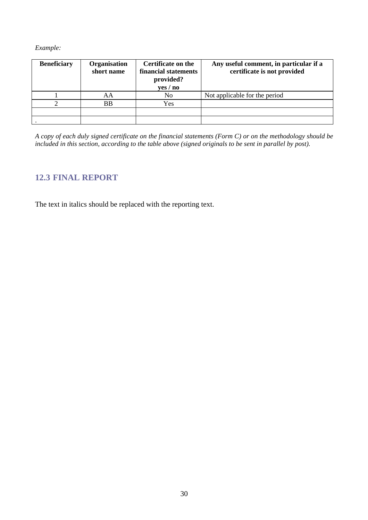*Example:* 

| <b>Beneficiary</b> | Organisation<br>short name | <b>Certificate on the</b><br>financial statements<br>provided?<br>yes / no | Any useful comment, in particular if a<br>certificate is not provided |
|--------------------|----------------------------|----------------------------------------------------------------------------|-----------------------------------------------------------------------|
|                    | ΑA                         | No                                                                         | Not applicable for the period                                         |
|                    | <b>BB</b>                  | Yes                                                                        |                                                                       |
|                    |                            |                                                                            |                                                                       |
|                    |                            |                                                                            |                                                                       |

*A copy of each duly signed certificate on the financial statements (Form C) or on the methodology should be included in this section, according to the table above (signed originals to be sent in parallel by post).* 

# <span id="page-29-0"></span>**12.3 FINAL REPORT**

The text in italics should be replaced with the reporting text.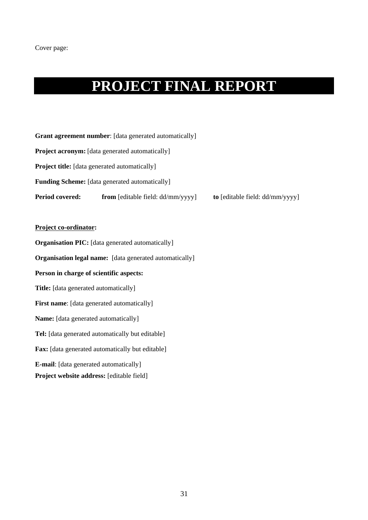# **PROJECT FINAL REPORT**

| <b>Grant agreement number:</b> [data generated automatically] |                                             |                                 |  |  |  |
|---------------------------------------------------------------|---------------------------------------------|---------------------------------|--|--|--|
| <b>Project acronym:</b> [data generated automatically]        |                                             |                                 |  |  |  |
| <b>Project title:</b> [data generated automatically]          |                                             |                                 |  |  |  |
| <b>Funding Scheme:</b> [data generated automatically]         |                                             |                                 |  |  |  |
| <b>Period covered:</b>                                        | <b>from</b> [editable field: $dd/mm/yyyy$ ] | to [editable field: dd/mm/yyyy] |  |  |  |

# **Project co-ordinator:**

**Organisation PIC:** [data generated automatically] **Organisation legal name:** [data generated automatically] **Person in charge of scientific aspects: Title:** [data generated automatically] **First name**: [data generated automatically] **Name:** [data generated automatically] **Tel:** [data generated automatically but editable] **Fax:** [data generated automatically but editable] **E-mail**: [data generated automatically] **Project website address:** [editable field]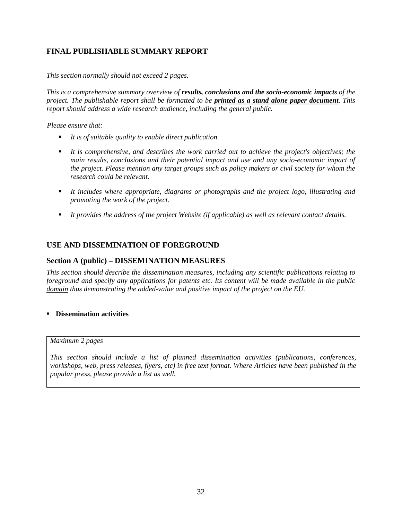# **FINAL PUBLISHABLE SUMMARY REPORT**

*This section normally should not exceed 2 pages.* 

*This is a comprehensive summary overview of results, conclusions and the socio-economic impacts of the project. The publishable report shall be formatted to be printed as a stand alone paper document. This report should address a wide research audience, including the general public.* 

*Please ensure that:* 

- *It is of suitable quality to enable direct publication.*
- *It is comprehensive, and describes the work carried out to achieve the project's objectives; the main results, conclusions and their potential impact and use and any socio-economic impact of the project. Please mention any target groups such as policy makers or civil society for whom the research could be relevant.*
- *It includes where appropriate, diagrams or photographs and the project logo, illustrating and promoting the work of the project.*
- *It provides the address of the project Website (if applicable) as well as relevant contact details.*

# **USE AND DISSEMINATION OF FOREGROUND**

# **Section A (public) – DISSEMINATION MEASURES**

*This section should describe the dissemination measures, including any scientific publications relating to foreground and specify any applications for patents etc. Its content will be made available in the public domain thus demonstrating the added-value and positive impact of the project on the EU.* 

### **Dissemination activities**

#### *Maximum 2 pages*

*This section should include a list of planned dissemination activities (publications, conferences, workshops, web, press releases, flyers, etc) in free text format. Where Articles have been published in the popular press, please provide a list as well.*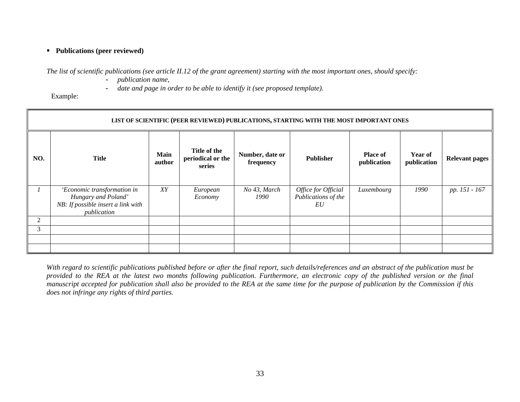### **Publications (peer reviewed)**

*The list of scientific publications (see article II.12 of the grant agreement) starting with the most important ones, should specify:* 

- *publication name,*
- *date and page in order to be able to identify it (see proposed template).*

Example:

|     | LIST OF SCIENTIFIC (PEER REVIEWED) PUBLICATIONS, STARTING WITH THE MOST IMPORTANT ONES                  |                       |                                             |                              |                                                  |                                |                        |                       |  |
|-----|---------------------------------------------------------------------------------------------------------|-----------------------|---------------------------------------------|------------------------------|--------------------------------------------------|--------------------------------|------------------------|-----------------------|--|
| NO. | <b>Title</b>                                                                                            | <b>Main</b><br>author | Title of the<br>periodical or the<br>series | Number, date or<br>frequency | <b>Publisher</b>                                 | <b>Place of</b><br>publication | Year of<br>publication | <b>Relevant pages</b> |  |
|     | 'Economic transformation in<br>Hungary and Poland'<br>NB: If possible insert a link with<br>publication | XY                    | European<br>Economy                         | No 43, March<br>1990         | Office for Official<br>Publications of the<br>EU | Luxembourg                     | 1990                   | pp. 151 - 167         |  |
| 2   |                                                                                                         |                       |                                             |                              |                                                  |                                |                        |                       |  |
| 3   |                                                                                                         |                       |                                             |                              |                                                  |                                |                        |                       |  |
|     |                                                                                                         |                       |                                             |                              |                                                  |                                |                        |                       |  |
|     |                                                                                                         |                       |                                             |                              |                                                  |                                |                        |                       |  |

*With regard to scientific publications published before or after the final report, such details/references and an abstract of the publication must be provided to the REA at the latest two months following publication. Furthermore, an electronic copy of the published version or the final manuscript accepted for publication shall also be provided to the REA at the same time for the purpose of publication by the Commission if this does not infringe any rights of third parties.*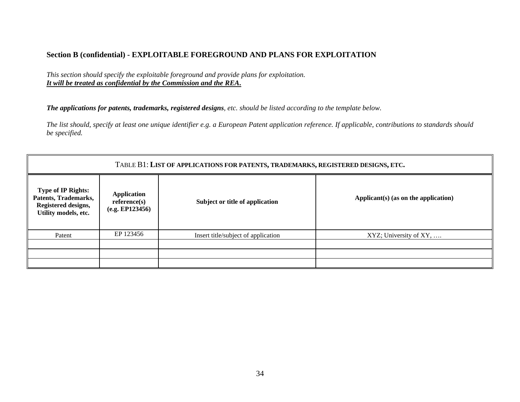# **Section B (confidential) - EXPLOITABLE FOREGROUND AND PLANS FOR EXPLOITATION**

*This section should specify the exploitable foreground and provide plans for exploitation. It will be treated as confidential by the Commission and the REA***.** 

*The applications for patents, trademarks, registered designs, etc. should be listed according to the template below.* 

*The list should, specify at least one unique identifier e.g. a European Patent application reference. If applicable, contributions to standards should be specified.* 

| TABLE B1: LIST OF APPLICATIONS FOR PATENTS, TRADEMARKS, REGISTERED DESIGNS, ETC.                 |                                                       |                                     |                                      |  |
|--------------------------------------------------------------------------------------------------|-------------------------------------------------------|-------------------------------------|--------------------------------------|--|
| <b>Type of IP Rights:</b><br>Patents, Trademarks,<br>Registered designs,<br>Utility models, etc. | <b>Application</b><br>reference(s)<br>(e.g. EP123456) | Subject or title of application     | Applicant(s) (as on the application) |  |
| Patent                                                                                           | EP 123456                                             | Insert title/subject of application | XYZ; University of XY,               |  |
|                                                                                                  |                                                       |                                     |                                      |  |
|                                                                                                  |                                                       |                                     |                                      |  |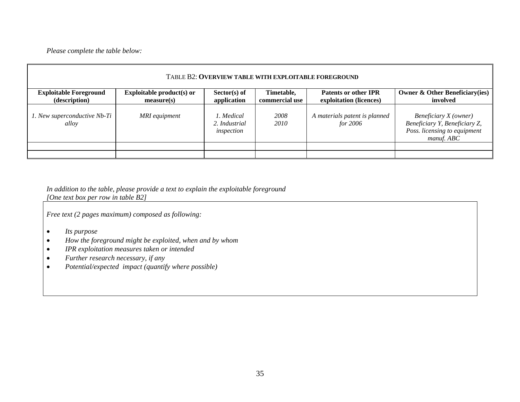*Please complete the table below:* 

| TABLE B2: OVERVIEW TABLE WITH EXPLOITABLE FOREGROUND |                                         |                                           |                              |                                                        |                                                                                                      |  |
|------------------------------------------------------|-----------------------------------------|-------------------------------------------|------------------------------|--------------------------------------------------------|------------------------------------------------------------------------------------------------------|--|
| <b>Exploitable Foreground</b><br>(description)       | Exploitable product(s) or<br>measure(s) | $Sector(s)$ of<br>application             | Timetable,<br>commercial use | <b>Patents or other IPR</b><br>exploitation (licences) | <b>Owner &amp; Other Beneficiary(ies)</b><br>involved                                                |  |
| 1. New superconductive Nb-Ti<br>alloy                | MRI equipment                           | 1. Medical<br>2. Industrial<br>inspection | 2008<br>2010                 | A materials patent is planned<br>for 2006              | Beneficiary X (owner)<br>Beneficiary Y, Beneficiary Z,<br>Poss. licensing to equipment<br>manuf. ABC |  |
|                                                      |                                         |                                           |                              |                                                        |                                                                                                      |  |
|                                                      |                                         |                                           |                              |                                                        |                                                                                                      |  |

*In addition to the table, please provide a text to explain the exploitable foreground [One text box per row in table B2]* 

*Free text (2 pages maximum) composed as following:* 

- •*Its purpose*
- •*How the foreground might be exploited, when and by whom*
- •*IPR exploitation measures taken or intended*
- •*Further research necessary, if any*
- •*Potential/expected impact (quantify where possible)*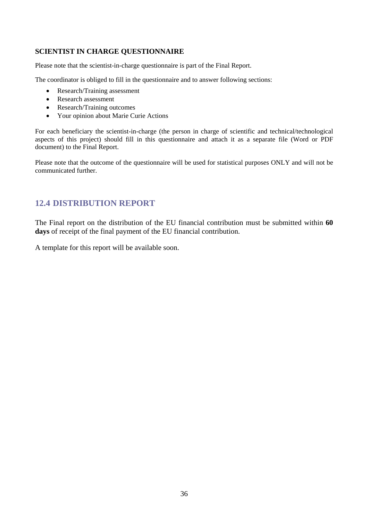# **SCIENTIST IN CHARGE QUESTIONNAIRE**

Please note that the scientist-in-charge questionnaire is part of the Final Report.

The coordinator is obliged to fill in the questionnaire and to answer following sections:

- Research/Training assessment
- Research assessment
- Research/Training outcomes
- Your opinion about Marie Curie Actions

For each beneficiary the scientist-in-charge (the person in charge of scientific and technical/technological aspects of this project) should fill in this questionnaire and attach it as a separate file (Word or PDF document) to the Final Report.

Please note that the outcome of the questionnaire will be used for statistical purposes ONLY and will not be communicated further.

# <span id="page-35-0"></span>**12.4 DISTRIBUTION REPORT**

The Final report on the distribution of the EU financial contribution must be submitted within **60 days** of receipt of the final payment of the EU financial contribution.

A template for this report will be available soon.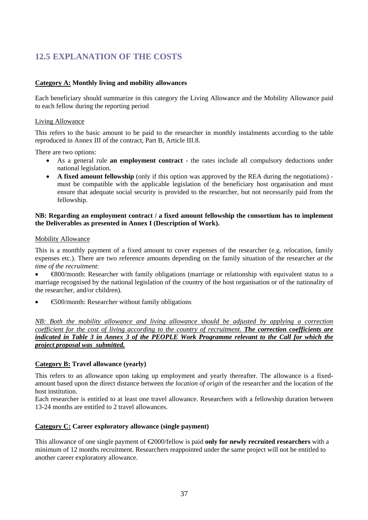# <span id="page-36-0"></span>**12.5 EXPLANATION OF THE COSTS**

# **Category A: Monthly living and mobility allowances**

Each beneficiary should summarize in this category the Living Allowance and the Mobility Allowance paid to each fellow during the reporting period

### Living Allowance

This refers to the basic amount to be paid to the researcher in monthly instalments according to the table reproduced in Annex III of the contract, Part B, Article III.8.

There are two options:

- As a general rule **an employment contract** the rates include all compulsory deductions under national legislation.
- **A fixed amount fellowship** (only if this option was approved by the REA during the negotiations) must be compatible with the applicable legislation of the beneficiary host organisation and must ensure that adequate social security is provided to the researcher, but not necessarily paid from the fellowship.

### **NB: Regarding an employment contract / a fixed amount fellowship the consortium has to implement the Deliverables as presented in Annex I (Description of Work).**

#### Mobility Allowance

This is a monthly payment of a fixed amount to cover expenses of the researcher (e.g. relocation, family expenses etc.). There are two reference amounts depending on the family situation of the researcher *at the time of the recruitment*:

• €800/month: Researcher with family obligations (marriage or relationship with equivalent status to a marriage recognised by the national legislation of the country of the host organisation or of the nationality of the researcher, and/or children).

• €500/month: Researcher without family obligations

*NB: Both the mobility allowance and living allowance should be adjusted by applying a correction coefficient for the cost of living according to the country of recruitment. The correction coefficients are indicated in Table 3 in Annex 3 of the PEOPLE Work Programme relevant to the Call for which the project proposal was submitted.*

### **Category B: Travel allowance (yearly)**

This refers to an allowance upon taking up employment and yearly thereafter. The allowance is a fixedamount based upon the direct distance between *the location of origin* of the researcher and the location of the host institution.

Each researcher is entitled to at least one travel allowance. Researchers with a fellowship duration between 13-24 months are entitled to 2 travel allowances.

# **Category C: Career exploratory allowance (single payment)**

This allowance of one single payment of €2000/fellow is paid **only for newly recruited researchers** with a minimum of 12 months recruitment. Researchers reappointed under the same project will not be entitled to another career exploratory allowance.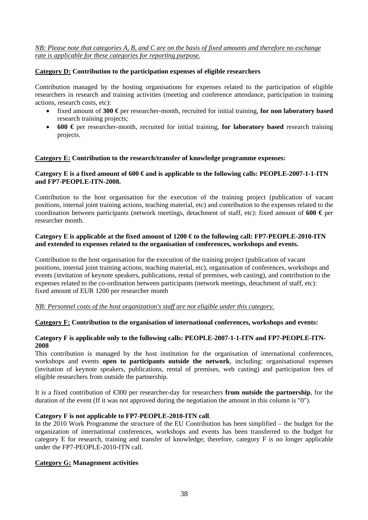*NB: Please note that categories A, B, and C are on the basis of fixed amounts and therefore no exchange rate is applicable for these categories for reporting purpose.*

# **Category D: Contribution to the participation expenses of eligible researchers**

Contribution managed by the hosting organisations for expenses related to the participation of eligible researchers in research and training activities (meeting and conference attendance, participation in training actions, research costs, etc):

- fixed amount of **300 €** per researcher-month, recruited for initial training, **for non laboratory based** research training projects;
- **600 €** per researcher-month, recruited for initial training, **for laboratory based** research training projects.

## **Category E: Contribution to the research/transfer of knowledge programme expenses:**

### **Category E is a fixed amount of 600 € and is applicable to the following calls: PEOPLE-2007-1-1-ITN and FP7-PEOPLE-ITN-2008.**

Contribution to the host organisation for the execution of the training project (publication of vacant positions, internal joint training actions, teaching material, etc) and contribution to the expenses related to the coordination between participants (network meetings, detachment of staff, etc): fixed amount of **600 €** per researcher month.

## **Category E is applicable at the fixed amount of 1200 € to the following call: FP7-PEOPLE-2010-ITN and extended to expenses related to the organisation of conferences, workshops and events.**

Contribution to the host organisation for the execution of the training project (publication of vacant positions, internal joint training actions, teaching material, etc), organisation of conferences, workshops and events (invitation of keynote speakers, publications, rental of premises, web casting), and contribution to the expenses related to the co-ordination between participants (network meetings, detachment of staff, etc): fixed amount of EUR 1200 per researcher month

*NB: Personnel costs of the host organization's staff are not eligible under this category.*

### **Category F: Contribution to the organisation of international conferences, workshops and events:**

## **Category F is applicable only to the following calls: PEOPLE-2007-1-1-ITN and FP7-PEOPLE-ITN-2008**

This contribution is managed by the host institution for the organisation of international conferences, workshops and events **open to participants outside the network**, including: organisational expenses (invitation of keynote speakers, publications, rental of premises, web casting) and participation fees of eligible researchers from outside the partnership.

It is a fixed contribution of €300 per researcher-day for researchers **from outside the partnership**, for the duration of the event (If it was not approved during the negotiation the amount in this column is "0").

### **Category F is not applicable to FP7-PEOPLE-2010-ITN call**.

In the 2010 Work Programme the structure of the EU Contribution has been simplified – the budget for the organization of international conferences, workshops and events has been transferred to the budget for category E for research, training and transfer of knowledge; therefore, category F is no longer applicable under the FP7-PEOPLE-2010-ITN call.

### **Category G: Management activities**